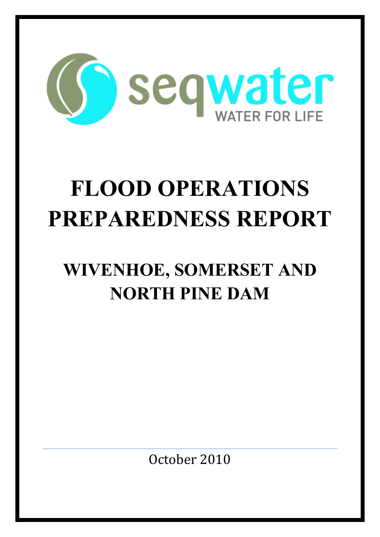

# **FLOOD OPERATIONS PREPAREDNESS REPORT**

## **WIVENHOE, SOMERSET AND NORTH PINE DAM**

October 2010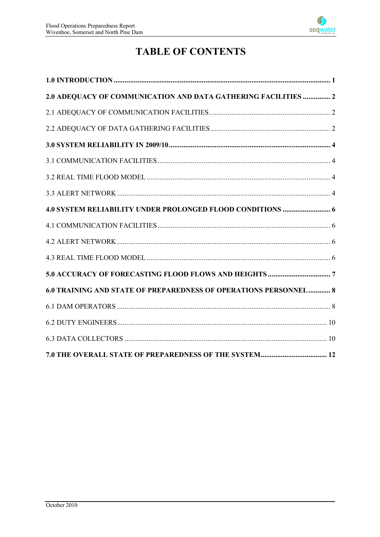

### **TABLE OF CONTENTS**

| 2.0 ADEQUACY OF COMMUNICATION AND DATA GATHERING FACILITIES  2   |  |
|------------------------------------------------------------------|--|
|                                                                  |  |
|                                                                  |  |
|                                                                  |  |
|                                                                  |  |
|                                                                  |  |
|                                                                  |  |
|                                                                  |  |
|                                                                  |  |
|                                                                  |  |
|                                                                  |  |
|                                                                  |  |
| 6.0 TRAINING AND STATE OF PREPAREDNESS OF OPERATIONS PERSONNEL 8 |  |
|                                                                  |  |
|                                                                  |  |
|                                                                  |  |
|                                                                  |  |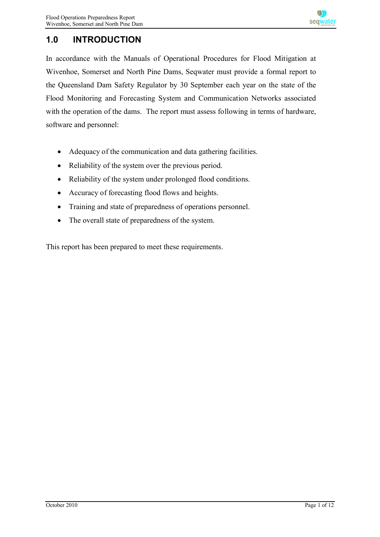#### **1.0 INTRODUCTION**

In accordance with the Manuals of Operational Procedures for Flood Mitigation at Wivenhoe, Somerset and North Pine Dams, Seqwater must provide a formal report to the Queensland Dam Safety Regulator by 30 September each year on the state of the Flood Monitoring and Forecasting System and Communication Networks associated with the operation of the dams. The report must assess following in terms of hardware, software and personnel:

- Adequacy of the communication and data gathering facilities.
- Reliability of the system over the previous period.
- Reliability of the system under prolonged flood conditions.
- Accuracy of forecasting flood flows and heights.
- · Training and state of preparedness of operations personnel.
- The overall state of preparedness of the system.

This report has been prepared to meet these requirements.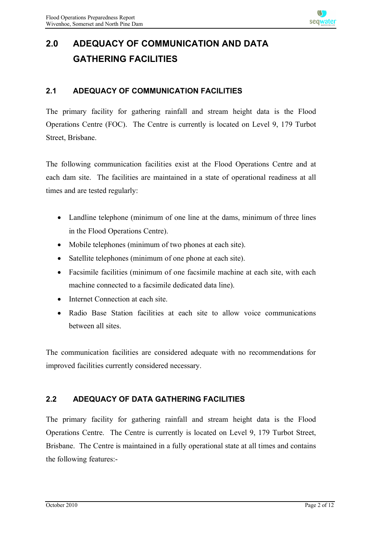## **2.0 ADEQUACY OF COMMUNICATION AND DATA GATHERING FACILITIES**

#### **2.1 ADEQUACY OF COMMUNICATION FACILITIES**

The primary facility for gathering rainfall and stream height data is the Flood Operations Centre (FOC). The Centre is currently is located on Level 9, 179 Turbot Street, Brisbane.

The following communication facilities exist at the Flood Operations Centre and at each dam site. The facilities are maintained in a state of operational readiness at all times and are tested regularly:

- Landline telephone (minimum of one line at the dams, minimum of three lines in the Flood Operations Centre).
- Mobile telephones (minimum of two phones at each site).
- Satellite telephones (minimum of one phone at each site).
- · Facsimile facilities (minimum of one facsimile machine at each site, with each machine connected to a facsimile dedicated data line).
- Internet Connection at each site.
- Radio Base Station facilities at each site to allow voice communications between all sites.

The communication facilities are considered adequate with no recommendations for improved facilities currently considered necessary.

#### **2.2 ADEQUACY OF DATA GATHERING FACILITIES**

The primary facility for gathering rainfall and stream height data is the Flood Operations Centre. The Centre is currently is located on Level 9, 179 Turbot Street, Brisbane. The Centre is maintained in a fully operational state at all times and contains the following features:-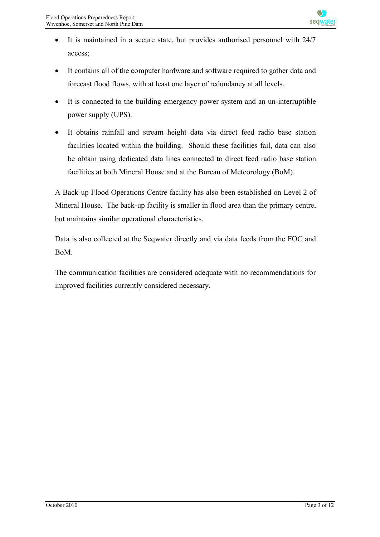- It is maintained in a secure state, but provides authorised personnel with 24/7 access;
- · It contains all of the computer hardware and software required to gather data and forecast flood flows, with at least one layer of redundancy at all levels.
- · It is connected to the building emergency power system and an un-interruptible power supply (UPS).
- · It obtains rainfall and stream height data via direct feed radio base station facilities located within the building. Should these facilities fail, data can also be obtain using dedicated data lines connected to direct feed radio base station facilities at both Mineral House and at the Bureau of Meteorology (BoM).

A Back-up Flood Operations Centre facility has also been established on Level 2 of Mineral House. The back-up facility is smaller in flood area than the primary centre, but maintains similar operational characteristics.

Data is also collected at the Seqwater directly and via data feeds from the FOC and BoM.

The communication facilities are considered adequate with no recommendations for improved facilities currently considered necessary.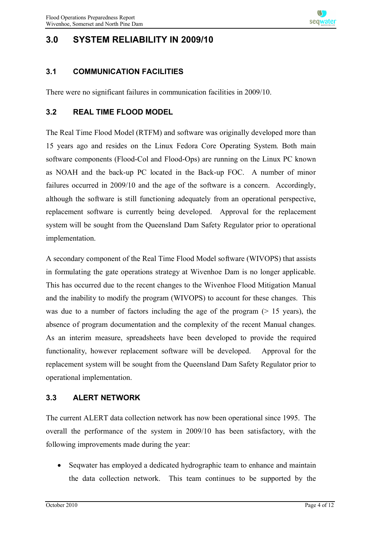#### **3.0 SYSTEM RELIABILITY IN 2009/10**

#### **3.1 COMMUNICATION FACILITIES**

There were no significant failures in communication facilities in 2009/10.

#### **3.2 REAL TIME FLOOD MODEL**

The Real Time Flood Model (RTFM) and software was originally developed more than 15 years ago and resides on the Linux Fedora Core Operating System. Both main software components (Flood-Col and Flood-Ops) are running on the Linux PC known as NOAH and the back-up PC located in the Back-up FOC. A number of minor failures occurred in 2009/10 and the age of the software is a concern. Accordingly, although the software is still functioning adequately from an operational perspective, replacement software is currently being developed. Approval for the replacement system will be sought from the Queensland Dam Safety Regulator prior to operational implementation.

A secondary component of the Real Time Flood Model software (WIVOPS) that assists in formulating the gate operations strategy at Wivenhoe Dam is no longer applicable. This has occurred due to the recent changes to the Wivenhoe Flood Mitigation Manual and the inability to modify the program (WIVOPS) to account for these changes. This was due to a number of factors including the age of the program  $(> 15 \text{ years})$ , the absence of program documentation and the complexity of the recent Manual changes. As an interim measure, spreadsheets have been developed to provide the required functionality, however replacement software will be developed. Approval for the replacement system will be sought from the Queensland Dam Safety Regulator prior to operational implementation.

#### **3.3 ALERT NETWORK**

The current ALERT data collection network has now been operational since 1995. The overall the performance of the system in 2009/10 has been satisfactory, with the following improvements made during the year:

· Seqwater has employed a dedicated hydrographic team to enhance and maintain the data collection network. This team continues to be supported by the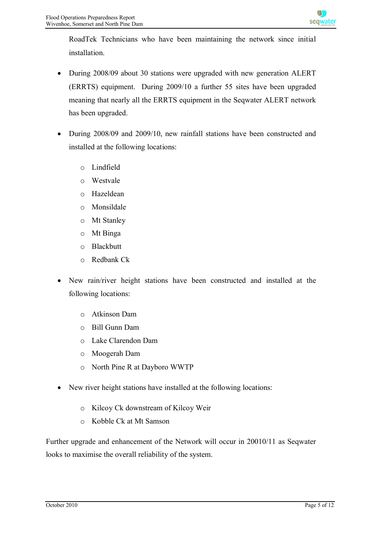RoadTek Technicians who have been maintaining the network since initial installation.

- During 2008/09 about 30 stations were upgraded with new generation ALERT (ERRTS) equipment. During 2009/10 a further 55 sites have been upgraded meaning that nearly all the ERRTS equipment in the Seqwater ALERT network has been upgraded.
- During 2008/09 and 2009/10, new rainfall stations have been constructed and installed at the following locations:
	- o Lindfield
	- o Westvale
	- o Hazeldean
	- o Monsildale
	- o Mt Stanley
	- o Mt Binga
	- o Blackbutt
	- o Redbank Ck
- New rain/river height stations have been constructed and installed at the following locations:
	- o Atkinson Dam
	- o Bill Gunn Dam
	- o Lake Clarendon Dam
	- o Moogerah Dam
	- o North Pine R at Dayboro WWTP
- New river height stations have installed at the following locations:
	- o Kilcoy Ck downstream of Kilcoy Weir
	- o Kobble Ck at Mt Samson

Further upgrade and enhancement of the Network will occur in 20010/11 as Seqwater looks to maximise the overall reliability of the system.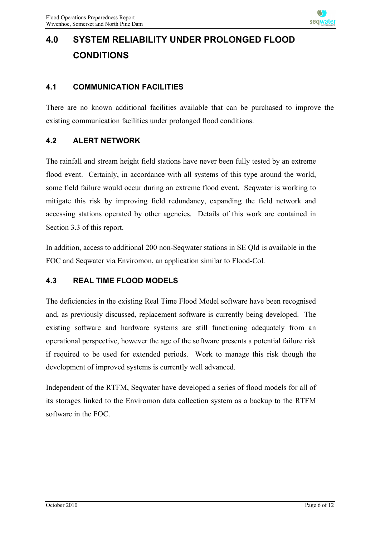## **4.0 SYSTEM RELIABILITY UNDER PROLONGED FLOOD CONDITIONS**

#### **4.1 COMMUNICATION FACILITIES**

There are no known additional facilities available that can be purchased to improve the existing communication facilities under prolonged flood conditions.

#### **4.2 ALERT NETWORK**

The rainfall and stream height field stations have never been fully tested by an extreme flood event. Certainly, in accordance with all systems of this type around the world, some field failure would occur during an extreme flood event. Seqwater is working to mitigate this risk by improving field redundancy, expanding the field network and accessing stations operated by other agencies. Details of this work are contained in Section 3.3 of this report.

In addition, access to additional 200 non-Seqwater stations in SE Qld is available in the FOC and Seqwater via Enviromon, an application similar to Flood-Col.

#### **4.3 REAL TIME FLOOD MODELS**

The deficiencies in the existing Real Time Flood Model software have been recognised and, as previously discussed, replacement software is currently being developed. The existing software and hardware systems are still functioning adequately from an operational perspective, however the age of the software presents a potential failure risk if required to be used for extended periods. Work to manage this risk though the development of improved systems is currently well advanced.

Independent of the RTFM, Seqwater have developed a series of flood models for all of its storages linked to the Enviromon data collection system as a backup to the RTFM software in the FOC.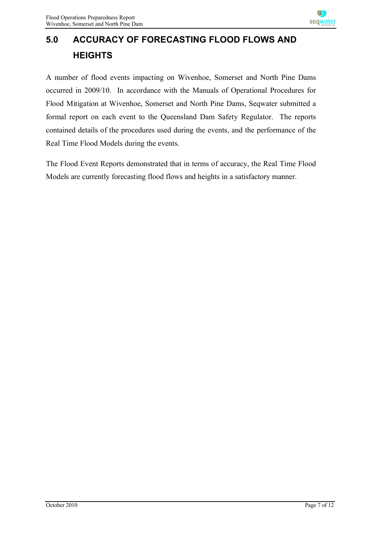## **5.0 ACCURACY OF FORECASTING FLOOD FLOWS AND HEIGHTS**

A number of flood events impacting on Wivenhoe, Somerset and North Pine Dams occurred in 2009/10. In accordance with the Manuals of Operational Procedures for Flood Mitigation at Wivenhoe, Somerset and North Pine Dams, Seqwater submitted a formal report on each event to the Queensland Dam Safety Regulator. The reports contained details of the procedures used during the events, and the performance of the Real Time Flood Models during the events.

The Flood Event Reports demonstrated that in terms of accuracy, the Real Time Flood Models are currently forecasting flood flows and heights in a satisfactory manner.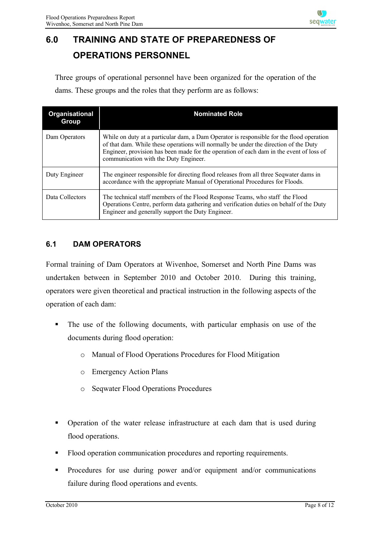

## **6.0 TRAINING AND STATE OF PREPAREDNESS OF OPERATIONS PERSONNEL**

Three groups of operational personnel have been organized for the operation of the dams. These groups and the roles that they perform are as follows:

| Organisational<br>Group | <b>Nominated Role</b>                                                                                                                                                                                                                                                                                                |
|-------------------------|----------------------------------------------------------------------------------------------------------------------------------------------------------------------------------------------------------------------------------------------------------------------------------------------------------------------|
| Dam Operators           | While on duty at a particular dam, a Dam Operator is responsible for the flood operation<br>of that dam. While these operations will normally be under the direction of the Duty<br>Engineer, provision has been made for the operation of each dam in the event of loss of<br>communication with the Duty Engineer. |
| Duty Engineer           | The engineer responsible for directing flood releases from all three Sequater dams in<br>accordance with the appropriate Manual of Operational Procedures for Floods.                                                                                                                                                |
| Data Collectors         | The technical staff members of the Flood Response Teams, who staff the Flood<br>Operations Centre, perform data gathering and verification duties on behalf of the Duty<br>Engineer and generally support the Duty Engineer.                                                                                         |

#### **6.1 DAM OPERATORS**

Formal training of Dam Operators at Wivenhoe, Somerset and North Pine Dams was undertaken between in September 2010 and October 2010. During this training, operators were given theoretical and practical instruction in the following aspects of the operation of each dam:

- The use of the following documents, with particular emphasis on use of the documents during flood operation:
	- o Manual of Flood Operations Procedures for Flood Mitigation
	- o Emergency Action Plans
	- o Seqwater Flood Operations Procedures
- § Operation of the water release infrastructure at each dam that is used during flood operations.
- Flood operation communication procedures and reporting requirements.
- § Procedures for use during power and/or equipment and/or communications failure during flood operations and events.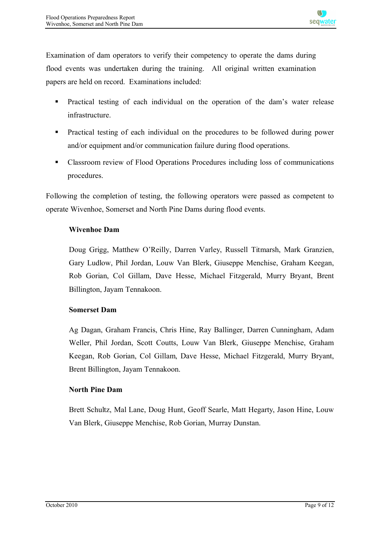Examination of dam operators to verify their competency to operate the dams during flood events was undertaken during the training. All original written examination papers are held on record. Examinations included:

- § Practical testing of each individual on the operation of the dam's water release infrastructure.
- § Practical testing of each individual on the procedures to be followed during power and/or equipment and/or communication failure during flood operations.
- Classroom review of Flood Operations Procedures including loss of communications procedures.

Following the completion of testing, the following operators were passed as competent to operate Wivenhoe, Somerset and North Pine Dams during flood events.

#### **Wivenhoe Dam**

Doug Grigg, Matthew O'Reilly, Darren Varley, Russell Titmarsh, Mark Granzien, Gary Ludlow, Phil Jordan, Louw Van Blerk, Giuseppe Menchise, Graham Keegan, Rob Gorian, Col Gillam, Dave Hesse, Michael Fitzgerald, Murry Bryant, Brent Billington, Jayam Tennakoon.

#### **Somerset Dam**

Ag Dagan, Graham Francis, Chris Hine, Ray Ballinger, Darren Cunningham, Adam Weller, Phil Jordan, Scott Coutts, Louw Van Blerk, Giuseppe Menchise, Graham Keegan, Rob Gorian, Col Gillam, Dave Hesse, Michael Fitzgerald, Murry Bryant, Brent Billington, Jayam Tennakoon.

#### **North Pine Dam**

Brett Schultz, Mal Lane, Doug Hunt, Geoff Searle, Matt Hegarty, Jason Hine, Louw Van Blerk, Giuseppe Menchise, Rob Gorian, Murray Dunstan.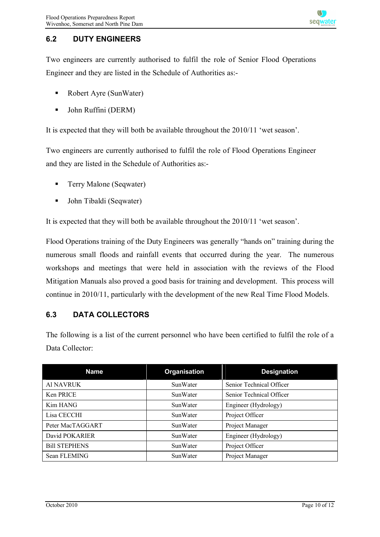#### **6.2 DUTY ENGINEERS**

Two engineers are currently authorised to fulfil the role of Senior Flood Operations Engineer and they are listed in the Schedule of Authorities as:-

- Robert Ayre (SunWater)
- § John Ruffini (DERM)

It is expected that they will both be available throughout the 2010/11 'wet season'.

Two engineers are currently authorised to fulfil the role of Flood Operations Engineer and they are listed in the Schedule of Authorities as:-

- Terry Malone (Seqwater)
- John Tibaldi (Seqwater)

It is expected that they will both be available throughout the 2010/11 'wet season'.

Flood Operations training of the Duty Engineers was generally "hands on" training during the numerous small floods and rainfall events that occurred during the year. The numerous workshops and meetings that were held in association with the reviews of the Flood Mitigation Manuals also proved a good basis for training and development. This process will continue in 2010/11, particularly with the development of the new Real Time Flood Models.

#### **6.3 DATA COLLECTORS**

The following is a list of the current personnel who have been certified to fulfil the role of a Data Collector:

| <b>Name</b>          | Organisation    | <b>Designation</b>       |
|----------------------|-----------------|--------------------------|
| Al NAVRUK            | SunWater        | Senior Technical Officer |
| Ken PRICE            | SunWater        | Senior Technical Officer |
| Kim HANG             | <b>SunWater</b> | Engineer (Hydrology)     |
| Lisa CECCHI          | <b>SunWater</b> | Project Officer          |
| Peter MacTAGGART     | <b>SunWater</b> | Project Manager          |
| David POKARIER       | <b>SunWater</b> | Engineer (Hydrology)     |
| <b>Bill STEPHENS</b> | <b>SunWater</b> | Project Officer          |
| Sean FLEMING         | SunWater        | Project Manager          |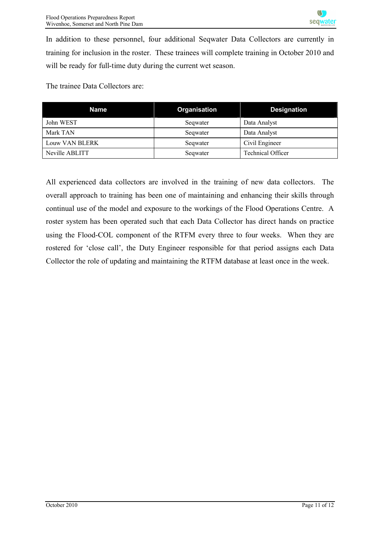In addition to these personnel, four additional Seqwater Data Collectors are currently in training for inclusion in the roster. These trainees will complete training in October 2010 and will be ready for full-time duty during the current wet season.

The trainee Data Collectors are:

| Name           | <b>Organisation</b> | <b>Designation</b>       |
|----------------|---------------------|--------------------------|
| John WEST      | Seqwater            | Data Analyst             |
| Mark TAN       | Seqwater            | Data Analyst             |
| Louw VAN BLERK | Seqwater            | Civil Engineer           |
| Neville ABLITT | Seqwater            | <b>Technical Officer</b> |

All experienced data collectors are involved in the training of new data collectors. The overall approach to training has been one of maintaining and enhancing their skills through continual use of the model and exposure to the workings of the Flood Operations Centre. A roster system has been operated such that each Data Collector has direct hands on practice using the Flood-COL component of the RTFM every three to four weeks. When they are rostered for 'close call', the Duty Engineer responsible for that period assigns each Data Collector the role of updating and maintaining the RTFM database at least once in the week.